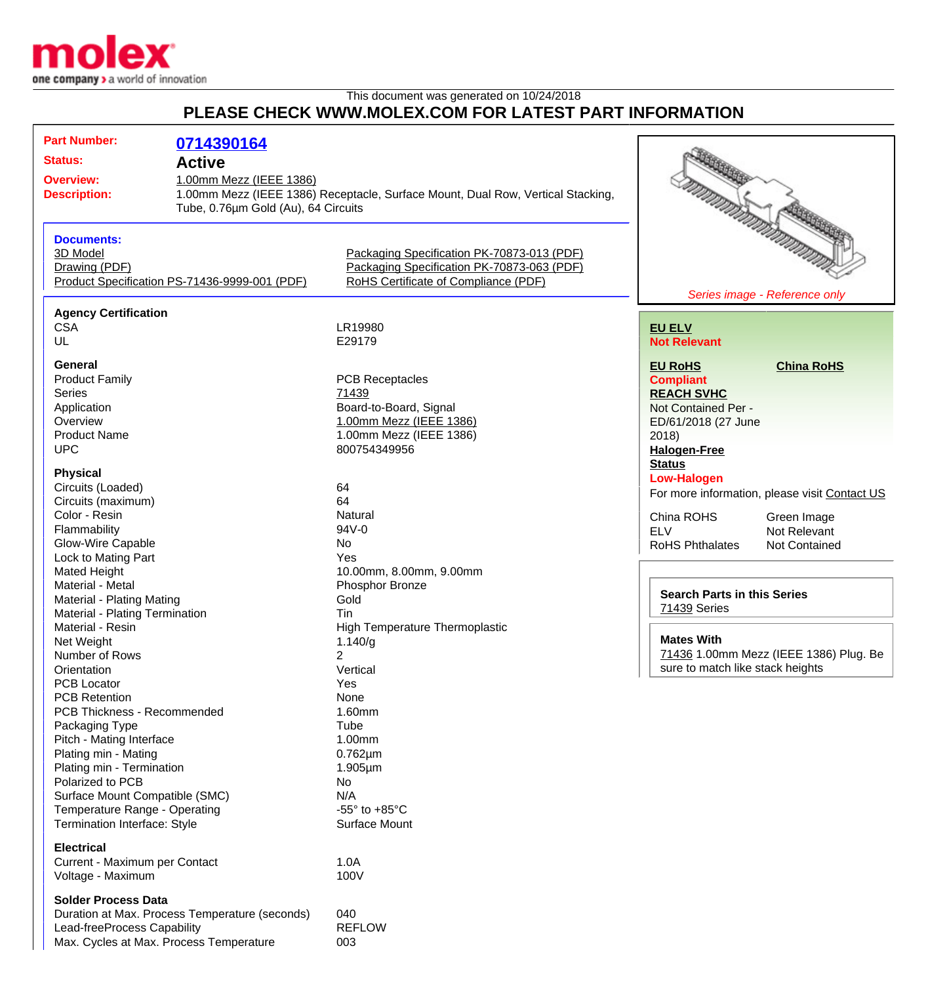

## This document was generated on 10/24/2018 **PLEASE CHECK WWW.MOLEX.COM FOR LATEST PART INFORMATION**

| <b>Part Number:</b>            | 0714390164                                     |                                                                                 |                                  |                                               |  |
|--------------------------------|------------------------------------------------|---------------------------------------------------------------------------------|----------------------------------|-----------------------------------------------|--|
| <b>Status:</b>                 | <b>Active</b>                                  |                                                                                 |                                  |                                               |  |
| <b>Overview:</b>               | 1.00mm Mezz (IEEE 1386)                        |                                                                                 |                                  |                                               |  |
| <b>Description:</b>            |                                                | 1.00mm Mezz (IEEE 1386) Receptacle, Surface Mount, Dual Row, Vertical Stacking, |                                  |                                               |  |
|                                |                                                |                                                                                 |                                  |                                               |  |
|                                | Tube, 0.76um Gold (Au), 64 Circuits            |                                                                                 |                                  |                                               |  |
|                                |                                                |                                                                                 |                                  |                                               |  |
| <b>Documents:</b>              |                                                |                                                                                 |                                  |                                               |  |
| 3D Model                       |                                                | Packaging Specification PK-70873-013 (PDF)                                      |                                  |                                               |  |
| Drawing (PDF)                  |                                                | Packaging Specification PK-70873-063 (PDF)                                      |                                  |                                               |  |
|                                | Product Specification PS-71436-9999-001 (PDF)  | RoHS Certificate of Compliance (PDF)                                            |                                  |                                               |  |
|                                |                                                |                                                                                 |                                  | Series image - Reference only                 |  |
| <b>Agency Certification</b>    |                                                |                                                                                 |                                  |                                               |  |
| <b>CSA</b>                     |                                                | LR19980                                                                         | <b>EU ELV</b>                    |                                               |  |
| UL                             |                                                | E29179                                                                          | <b>Not Relevant</b>              |                                               |  |
|                                |                                                |                                                                                 |                                  |                                               |  |
| <b>General</b>                 |                                                |                                                                                 | <b>EU RoHS</b>                   | <b>China RoHS</b>                             |  |
| <b>Product Family</b>          |                                                | <b>PCB Receptacles</b>                                                          | <b>Compliant</b>                 |                                               |  |
| <b>Series</b>                  |                                                | 71439                                                                           | <b>REACH SVHC</b>                |                                               |  |
| Application                    |                                                | Board-to-Board, Signal                                                          | Not Contained Per -              |                                               |  |
| Overview                       |                                                | 1.00mm Mezz (IEEE 1386)                                                         | ED/61/2018 (27 June              |                                               |  |
| <b>Product Name</b>            |                                                | 1.00mm Mezz (IEEE 1386)                                                         | 2018                             |                                               |  |
| <b>UPC</b>                     |                                                | 800754349956                                                                    |                                  |                                               |  |
|                                |                                                |                                                                                 | <b>Halogen-Free</b>              |                                               |  |
| <b>Physical</b>                |                                                |                                                                                 | <b>Status</b>                    |                                               |  |
| Circuits (Loaded)              |                                                | 64                                                                              | <b>Low-Halogen</b>               |                                               |  |
| Circuits (maximum)             |                                                | 64                                                                              |                                  | For more information, please visit Contact US |  |
|                                |                                                |                                                                                 |                                  |                                               |  |
| Color - Resin                  |                                                | Natural                                                                         | China ROHS                       | Green Image                                   |  |
| Flammability                   |                                                | 94V-0                                                                           | <b>ELV</b>                       | Not Relevant                                  |  |
| Glow-Wire Capable              |                                                | No                                                                              | <b>RoHS Phthalates</b>           | <b>Not Contained</b>                          |  |
| Lock to Mating Part            |                                                | Yes                                                                             |                                  |                                               |  |
| Mated Height                   |                                                | 10.00mm, 8.00mm, 9.00mm                                                         |                                  |                                               |  |
| Material - Metal               |                                                | Phosphor Bronze                                                                 |                                  |                                               |  |
| Material - Plating Mating      |                                                | Gold                                                                            |                                  | <b>Search Parts in this Series</b>            |  |
| Material - Plating Termination |                                                | Tin                                                                             | 71439 Series                     |                                               |  |
| Material - Resin               |                                                | <b>High Temperature Thermoplastic</b>                                           |                                  |                                               |  |
| Net Weight                     |                                                | 1.140/g                                                                         | <b>Mates With</b>                |                                               |  |
| Number of Rows                 |                                                | $\overline{2}$                                                                  |                                  | 71436 1.00mm Mezz (IEEE 1386) Plug. Be        |  |
| Orientation                    |                                                | Vertical                                                                        | sure to match like stack heights |                                               |  |
| PCB Locator                    |                                                | Yes                                                                             |                                  |                                               |  |
|                                |                                                |                                                                                 |                                  |                                               |  |
| <b>PCB Retention</b>           |                                                | None                                                                            |                                  |                                               |  |
| PCB Thickness - Recommended    |                                                | 1.60mm                                                                          |                                  |                                               |  |
| Packaging Type                 |                                                | Tube                                                                            |                                  |                                               |  |
| Pitch - Mating Interface       |                                                | 1.00mm                                                                          |                                  |                                               |  |
| Plating min - Mating           |                                                | $0.762 \mu m$                                                                   |                                  |                                               |  |
| Plating min - Termination      |                                                | $1.905 \mu m$                                                                   |                                  |                                               |  |
| Polarized to PCB               |                                                | No                                                                              |                                  |                                               |  |
| Surface Mount Compatible (SMC) |                                                | N/A                                                                             |                                  |                                               |  |
| Temperature Range - Operating  |                                                | -55 $\degree$ to +85 $\degree$ C                                                |                                  |                                               |  |
| Termination Interface: Style   |                                                | Surface Mount                                                                   |                                  |                                               |  |
|                                |                                                |                                                                                 |                                  |                                               |  |
| <b>Electrical</b>              |                                                |                                                                                 |                                  |                                               |  |
| Current - Maximum per Contact  |                                                | 1.0A                                                                            |                                  |                                               |  |
| Voltage - Maximum              |                                                | 100V                                                                            |                                  |                                               |  |
|                                |                                                |                                                                                 |                                  |                                               |  |
| <b>Solder Process Data</b>     |                                                |                                                                                 |                                  |                                               |  |
|                                | Duration at Max. Process Temperature (seconds) | 040                                                                             |                                  |                                               |  |
| Lead-freeProcess Capability    |                                                | <b>REFLOW</b>                                                                   |                                  |                                               |  |
|                                | Max. Cycles at Max. Process Temperature        | 003                                                                             |                                  |                                               |  |
|                                |                                                |                                                                                 |                                  |                                               |  |